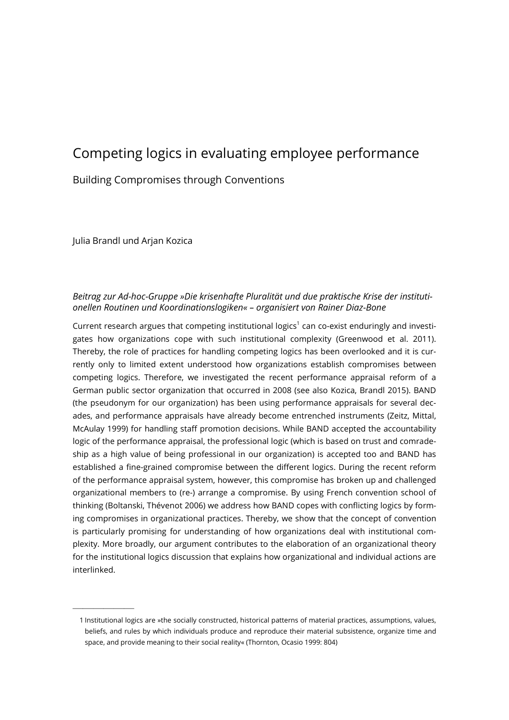# Competing logics in evaluating employee performance

# Building Compromises through Conventions

Julia Brandl und Arjan Kozica

——————

# Beitrag zur Ad-hoc-Gruppe »Die krisenhafte Pluralität und due praktische Krise der institutionellen Routinen und Koordinationslogiken« – organisiert von Rainer Diaz-Bone

Current research argues that competing institutional logics<sup>1</sup> can co-exist enduringly and investigates how organizations cope with such institutional complexity (Greenwood et al. 2011). Thereby, the role of practices for handling competing logics has been overlooked and it is currently only to limited extent understood how organizations establish compromises between competing logics. Therefore, we investigated the recent performance appraisal reform of a German public sector organization that occurred in 2008 (see also Kozica, Brandl 2015). BAND (the pseudonym for our organization) has been using performance appraisals for several decades, and performance appraisals have already become entrenched instruments (Zeitz, Mittal, McAulay 1999) for handling staff promotion decisions. While BAND accepted the accountability logic of the performance appraisal, the professional logic (which is based on trust and comradeship as a high value of being professional in our organization) is accepted too and BAND has established a fine-grained compromise between the different logics. During the recent reform of the performance appraisal system, however, this compromise has broken up and challenged organizational members to (re-) arrange a compromise. By using French convention school of thinking (Boltanski, Thévenot 2006) we address how BAND copes with conflicting logics by forming compromises in organizational practices. Thereby, we show that the concept of convention is particularly promising for understanding of how organizations deal with institutional complexity. More broadly, our argument contributes to the elaboration of an organizational theory for the institutional logics discussion that explains how organizational and individual actions are interlinked.

 <sup>1</sup> Institutional logics are »the socially constructed, historical patterns of material practices, assumptions, values, beliefs, and rules by which individuals produce and reproduce their material subsistence, organize time and space, and provide meaning to their social reality« (Thornton, Ocasio 1999: 804)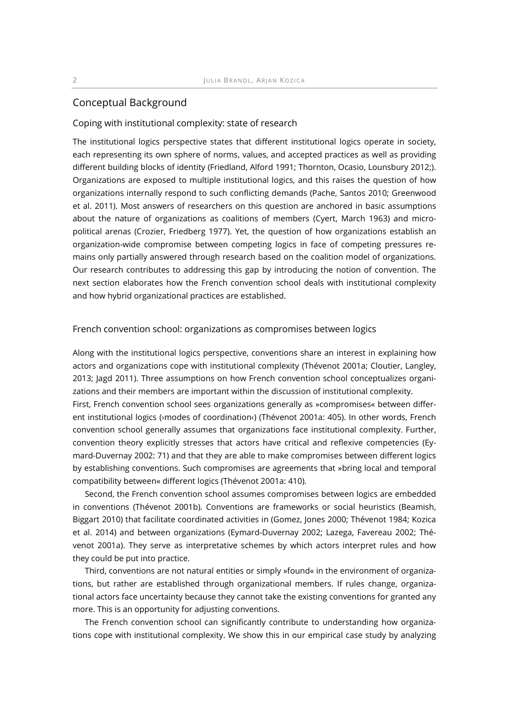# Conceptual Background

## Coping with institutional complexity: state of research

The institutional logics perspective states that different institutional logics operate in society, each representing its own sphere of norms, values, and accepted practices as well as providing different building blocks of identity (Friedland, Alford 1991; Thornton, Ocasio, Lounsbury 2012;). Organizations are exposed to multiple institutional logics, and this raises the question of how organizations internally respond to such conflicting demands (Pache, Santos 2010; Greenwood et al. 2011). Most answers of researchers on this question are anchored in basic assumptions about the nature of organizations as coalitions of members (Cyert, March 1963) and micropolitical arenas (Crozier, Friedberg 1977). Yet, the question of how organizations establish an organization-wide compromise between competing logics in face of competing pressures remains only partially answered through research based on the coalition model of organizations. Our research contributes to addressing this gap by introducing the notion of convention. The next section elaborates how the French convention school deals with institutional complexity and how hybrid organizational practices are established.

## French convention school: organizations as compromises between logics

Along with the institutional logics perspective, conventions share an interest in explaining how actors and organizations cope with institutional complexity (Thévenot 2001a; Cloutier, Langley, 2013; Jagd 2011). Three assumptions on how French convention school conceptualizes organizations and their members are important within the discussion of institutional complexity. First, French convention school sees organizations generally as »compromises« between different institutional logics (›modes of coordination‹) (Thévenot 2001a: 405). In other words, French convention school generally assumes that organizations face institutional complexity. Further, convention theory explicitly stresses that actors have critical and reflexive competencies (Eymard-Duvernay 2002: 71) and that they are able to make compromises between different logics by establishing conventions. Such compromises are agreements that »bring local and temporal compatibility between« different logics (Thévenot 2001a: 410).

Second, the French convention school assumes compromises between logics are embedded in conventions (Thévenot 2001b). Conventions are frameworks or social heuristics (Beamish, Biggart 2010) that facilitate coordinated activities in (Gomez, Jones 2000; Thévenot 1984; Kozica et al. 2014) and between organizations (Eymard-Duvernay 2002; Lazega, Favereau 2002; Thévenot 2001a). They serve as interpretative schemes by which actors interpret rules and how they could be put into practice.

Third, conventions are not natural entities or simply »found« in the environment of organizations, but rather are established through organizational members. If rules change, organizational actors face uncertainty because they cannot take the existing conventions for granted any more. This is an opportunity for adjusting conventions.

The French convention school can significantly contribute to understanding how organizations cope with institutional complexity. We show this in our empirical case study by analyzing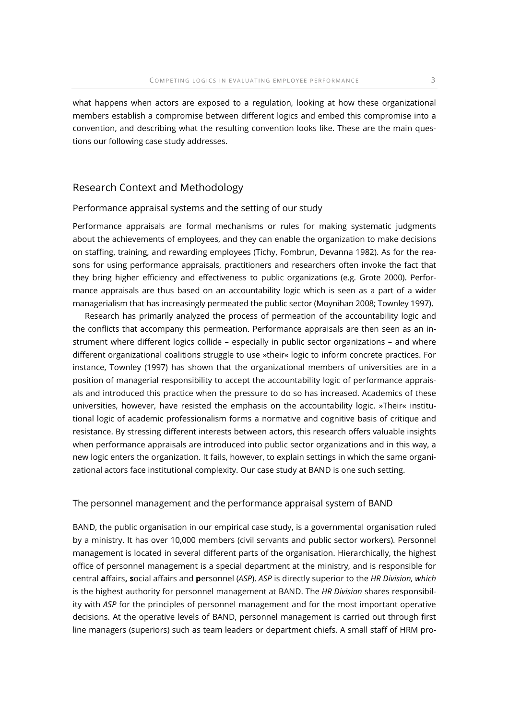what happens when actors are exposed to a regulation, looking at how these organizational members establish a compromise between different logics and embed this compromise into a convention, and describing what the resulting convention looks like. These are the main questions our following case study addresses.

# Research Context and Methodology

### Performance appraisal systems and the setting of our study

Performance appraisals are formal mechanisms or rules for making systematic judgments about the achievements of employees, and they can enable the organization to make decisions on staffing, training, and rewarding employees (Tichy, Fombrun, Devanna 1982). As for the reasons for using performance appraisals, practitioners and researchers often invoke the fact that they bring higher efficiency and effectiveness to public organizations (e.g. Grote 2000). Performance appraisals are thus based on an accountability logic which is seen as a part of a wider managerialism that has increasingly permeated the public sector (Moynihan 2008; Townley 1997).

Research has primarily analyzed the process of permeation of the accountability logic and the conflicts that accompany this permeation. Performance appraisals are then seen as an instrument where different logics collide – especially in public sector organizations – and where different organizational coalitions struggle to use »their« logic to inform concrete practices. For instance, Townley (1997) has shown that the organizational members of universities are in a position of managerial responsibility to accept the accountability logic of performance appraisals and introduced this practice when the pressure to do so has increased. Academics of these universities, however, have resisted the emphasis on the accountability logic. »Their« institutional logic of academic professionalism forms a normative and cognitive basis of critique and resistance. By stressing different interests between actors, this research offers valuable insights when performance appraisals are introduced into public sector organizations and in this way, a new logic enters the organization. It fails, however, to explain settings in which the same organizational actors face institutional complexity. Our case study at BAND is one such setting.

#### The personnel management and the performance appraisal system of BAND

BAND, the public organisation in our empirical case study, is a governmental organisation ruled by a ministry. It has over 10,000 members (civil servants and public sector workers). Personnel management is located in several different parts of the organisation. Hierarchically, the highest office of personnel management is a special department at the ministry, and is responsible for central affairs, social affairs and personnel (ASP). ASP is directly superior to the HR Division, which is the highest authority for personnel management at BAND. The HR Division shares responsibility with ASP for the principles of personnel management and for the most important operative decisions. At the operative levels of BAND, personnel management is carried out through first line managers (superiors) such as team leaders or department chiefs. A small staff of HRM pro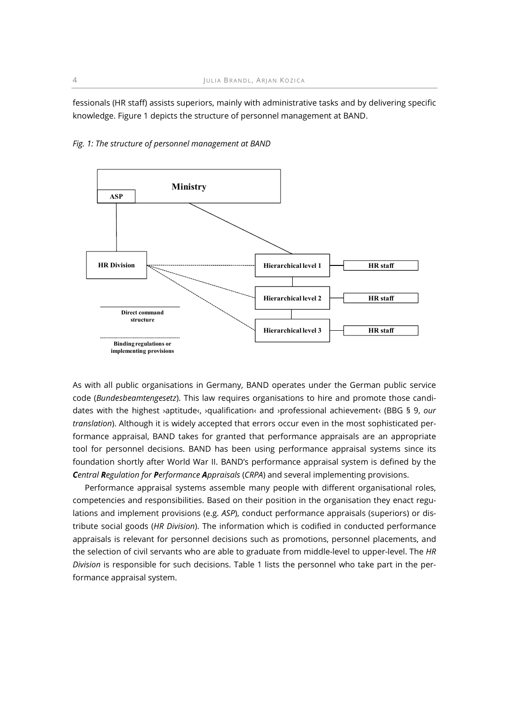fessionals (HR staff) assists superiors, mainly with administrative tasks and by delivering specific knowledge. Figure 1 depicts the structure of personnel management at BAND.



Fig. 1: The structure of personnel management at BAND

As with all public organisations in Germany, BAND operates under the German public service code (Bundesbeamtengesetz). This law requires organisations to hire and promote those candidates with the highest ›aptitude‹, ›qualification‹ and ›professional achievement‹ (BBG § 9, our translation). Although it is widely accepted that errors occur even in the most sophisticated performance appraisal, BAND takes for granted that performance appraisals are an appropriate tool for personnel decisions. BAND has been using performance appraisal systems since its foundation shortly after World War II. BAND's performance appraisal system is defined by the Central Regulation for Performance Appraisals (CRPA) and several implementing provisions.

Performance appraisal systems assemble many people with different organisational roles, competencies and responsibilities. Based on their position in the organisation they enact regulations and implement provisions (e.g. ASP), conduct performance appraisals (superiors) or distribute social goods (HR Division). The information which is codified in conducted performance appraisals is relevant for personnel decisions such as promotions, personnel placements, and the selection of civil servants who are able to graduate from middle-level to upper-level. The HR Division is responsible for such decisions. Table 1 lists the personnel who take part in the performance appraisal system.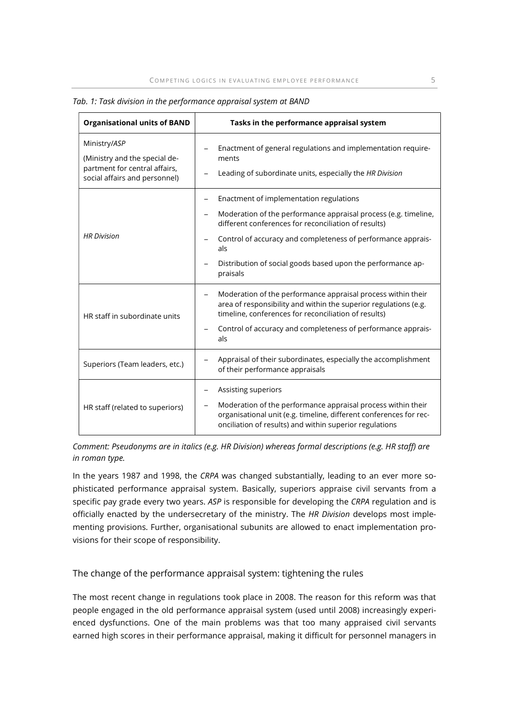| <b>Organisational units of BAND</b>                                                                             | Tasks in the performance appraisal system                                                                                                                                                                                                                                                                            |
|-----------------------------------------------------------------------------------------------------------------|----------------------------------------------------------------------------------------------------------------------------------------------------------------------------------------------------------------------------------------------------------------------------------------------------------------------|
| Ministry/ASP<br>(Ministry and the special de-<br>partment for central affairs,<br>social affairs and personnel) | Enactment of general regulations and implementation require-<br>ments<br>Leading of subordinate units, especially the HR Division                                                                                                                                                                                    |
| <b>HR Division</b>                                                                                              | Enactment of implementation regulations<br>Moderation of the performance appraisal process (e.g. timeline,<br>different conferences for reconciliation of results)<br>Control of accuracy and completeness of performance apprais-<br>als<br>Distribution of social goods based upon the performance ap-<br>praisals |
| HR staff in subordinate units                                                                                   | Moderation of the performance appraisal process within their<br>-<br>area of responsibility and within the superior regulations (e.g.<br>timeline, conferences for reconciliation of results)<br>Control of accuracy and completeness of performance apprais-<br>als                                                 |
| Superiors (Team leaders, etc.)                                                                                  | Appraisal of their subordinates, especially the accomplishment<br>of their performance appraisals                                                                                                                                                                                                                    |
| HR staff (related to superiors)                                                                                 | Assisting superiors<br>Moderation of the performance appraisal process within their<br>organisational unit (e.g. timeline, different conferences for rec-<br>onciliation of results) and within superior regulations                                                                                                 |

Tab. 1: Task division in the performance appraisal system at BAND

Comment: Pseudonyms are in italics (e.g. HR Division) whereas formal descriptions (e.g. HR staff) are in roman type.

In the years 1987 and 1998, the CRPA was changed substantially, leading to an ever more sophisticated performance appraisal system. Basically, superiors appraise civil servants from a specific pay grade every two years. ASP is responsible for developing the CRPA regulation and is officially enacted by the undersecretary of the ministry. The HR Division develops most implementing provisions. Further, organisational subunits are allowed to enact implementation provisions for their scope of responsibility.

The change of the performance appraisal system: tightening the rules

The most recent change in regulations took place in 2008. The reason for this reform was that people engaged in the old performance appraisal system (used until 2008) increasingly experienced dysfunctions. One of the main problems was that too many appraised civil servants earned high scores in their performance appraisal, making it difficult for personnel managers in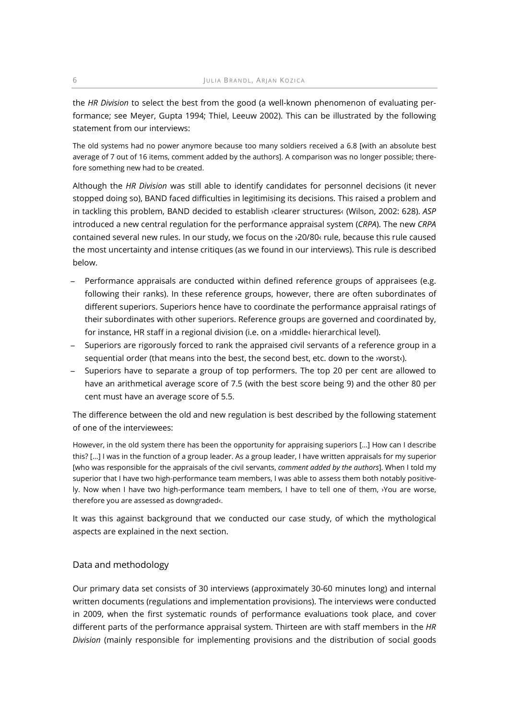the HR Division to select the best from the good (a well-known phenomenon of evaluating performance; see Meyer, Gupta 1994; Thiel, Leeuw 2002). This can be illustrated by the following statement from our interviews:

The old systems had no power anymore because too many soldiers received a 6.8 [with an absolute best average of 7 out of 16 items, comment added by the authors]. A comparison was no longer possible; therefore something new had to be created.

Although the HR Division was still able to identify candidates for personnel decisions (it never stopped doing so), BAND faced difficulties in legitimising its decisions. This raised a problem and in tackling this problem, BAND decided to establish >clearer structures‹ (Wilson, 2002: 628). ASP introduced a new central regulation for the performance appraisal system (CRPA). The new CRPA contained several new rules. In our study, we focus on the ›20/80‹ rule, because this rule caused the most uncertainty and intense critiques (as we found in our interviews). This rule is described below.

- ̶ Performance appraisals are conducted within defined reference groups of appraisees (e.g. following their ranks). In these reference groups, however, there are often subordinates of different superiors. Superiors hence have to coordinate the performance appraisal ratings of their subordinates with other superiors. Reference groups are governed and coordinated by, for instance, HR staff in a regional division (i.e. on a ›middle‹ hierarchical level).
- ̶ Superiors are rigorously forced to rank the appraised civil servants of a reference group in a sequential order (that means into the best, the second best, etc. down to the ›worst‹).
- ̶ Superiors have to separate a group of top performers. The top 20 per cent are allowed to have an arithmetical average score of 7.5 (with the best score being 9) and the other 80 per cent must have an average score of 5.5.

The difference between the old and new regulation is best described by the following statement of one of the interviewees:

However, in the old system there has been the opportunity for appraising superiors […] How can I describe this? […] I was in the function of a group leader. As a group leader, I have written appraisals for my superior [who was responsible for the appraisals of the civil servants, comment added by the authors]. When I told my superior that I have two high-performance team members, I was able to assess them both notably positively. Now when I have two high-performance team members, I have to tell one of them, ›You are worse, therefore you are assessed as downgraded‹.

It was this against background that we conducted our case study, of which the mythological aspects are explained in the next section.

# Data and methodology

Our primary data set consists of 30 interviews (approximately 30-60 minutes long) and internal written documents (regulations and implementation provisions). The interviews were conducted in 2009, when the first systematic rounds of performance evaluations took place, and cover different parts of the performance appraisal system. Thirteen are with staff members in the HR Division (mainly responsible for implementing provisions and the distribution of social goods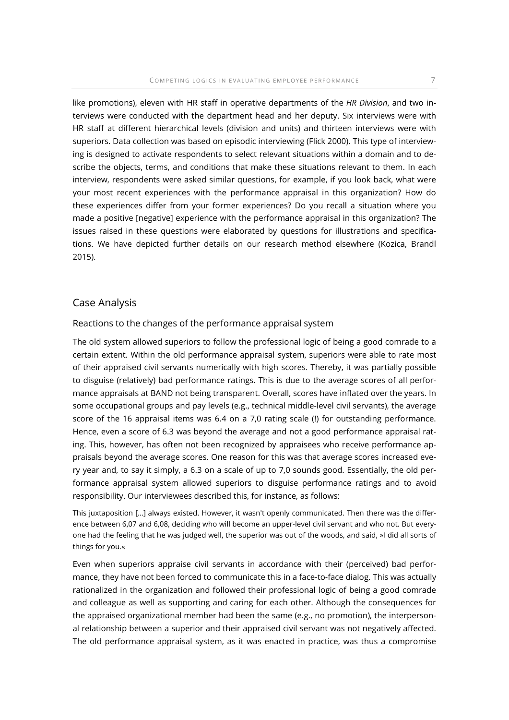like promotions), eleven with HR staff in operative departments of the HR Division, and two interviews were conducted with the department head and her deputy. Six interviews were with HR staff at different hierarchical levels (division and units) and thirteen interviews were with superiors. Data collection was based on episodic interviewing (Flick 2000). This type of interviewing is designed to activate respondents to select relevant situations within a domain and to describe the objects, terms, and conditions that make these situations relevant to them. In each interview, respondents were asked similar questions, for example, if you look back, what were your most recent experiences with the performance appraisal in this organization? How do these experiences differ from your former experiences? Do you recall a situation where you made a positive [negative] experience with the performance appraisal in this organization? The issues raised in these questions were elaborated by questions for illustrations and specifications. We have depicted further details on our research method elsewhere (Kozica, Brandl 2015).

## Case Analysis

## Reactions to the changes of the performance appraisal system

The old system allowed superiors to follow the professional logic of being a good comrade to a certain extent. Within the old performance appraisal system, superiors were able to rate most of their appraised civil servants numerically with high scores. Thereby, it was partially possible to disguise (relatively) bad performance ratings. This is due to the average scores of all performance appraisals at BAND not being transparent. Overall, scores have inflated over the years. In some occupational groups and pay levels (e.g., technical middle-level civil servants), the average score of the 16 appraisal items was 6.4 on a 7,0 rating scale (!) for outstanding performance. Hence, even a score of 6.3 was beyond the average and not a good performance appraisal rating. This, however, has often not been recognized by appraisees who receive performance appraisals beyond the average scores. One reason for this was that average scores increased every year and, to say it simply, a 6.3 on a scale of up to 7,0 sounds good. Essentially, the old performance appraisal system allowed superiors to disguise performance ratings and to avoid responsibility. Our interviewees described this, for instance, as follows:

This juxtaposition […] always existed. However, it wasn't openly communicated. Then there was the difference between 6,07 and 6,08, deciding who will become an upper-level civil servant and who not. But everyone had the feeling that he was judged well, the superior was out of the woods, and said, »I did all sorts of things for you.«

Even when superiors appraise civil servants in accordance with their (perceived) bad performance, they have not been forced to communicate this in a face-to-face dialog. This was actually rationalized in the organization and followed their professional logic of being a good comrade and colleague as well as supporting and caring for each other. Although the consequences for the appraised organizational member had been the same (e.g., no promotion), the interpersonal relationship between a superior and their appraised civil servant was not negatively affected. The old performance appraisal system, as it was enacted in practice, was thus a compromise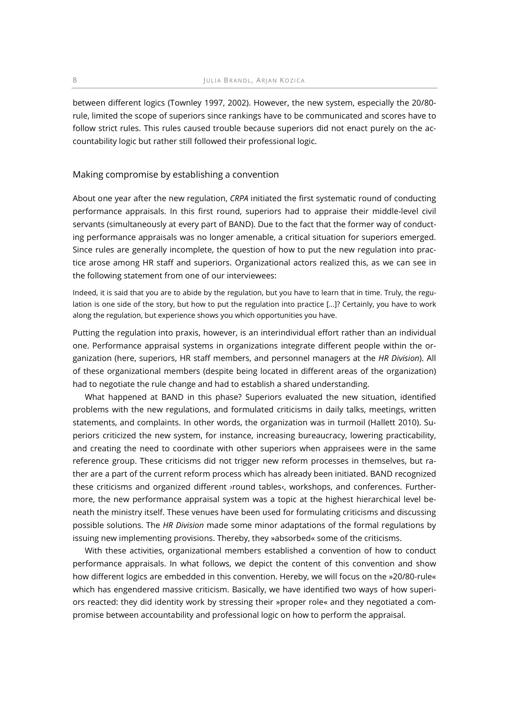between different logics (Townley 1997, 2002). However, the new system, especially the 20/80 rule, limited the scope of superiors since rankings have to be communicated and scores have to follow strict rules. This rules caused trouble because superiors did not enact purely on the accountability logic but rather still followed their professional logic.

#### Making compromise by establishing a convention

About one year after the new regulation, CRPA initiated the first systematic round of conducting performance appraisals. In this first round, superiors had to appraise their middle-level civil servants (simultaneously at every part of BAND). Due to the fact that the former way of conducting performance appraisals was no longer amenable, a critical situation for superiors emerged. Since rules are generally incomplete, the question of how to put the new regulation into practice arose among HR staff and superiors. Organizational actors realized this, as we can see in the following statement from one of our interviewees:

Indeed, it is said that you are to abide by the regulation, but you have to learn that in time. Truly, the regulation is one side of the story, but how to put the regulation into practice […]? Certainly, you have to work along the regulation, but experience shows you which opportunities you have.

Putting the regulation into praxis, however, is an interindividual effort rather than an individual one. Performance appraisal systems in organizations integrate different people within the organization (here, superiors, HR staff members, and personnel managers at the HR Division). All of these organizational members (despite being located in different areas of the organization) had to negotiate the rule change and had to establish a shared understanding.

What happened at BAND in this phase? Superiors evaluated the new situation, identified problems with the new regulations, and formulated criticisms in daily talks, meetings, written statements, and complaints. In other words, the organization was in turmoil (Hallett 2010). Superiors criticized the new system, for instance, increasing bureaucracy, lowering practicability, and creating the need to coordinate with other superiors when appraisees were in the same reference group. These criticisms did not trigger new reform processes in themselves, but rather are a part of the current reform process which has already been initiated. BAND recognized these criticisms and organized different ›round tables‹, workshops, and conferences. Furthermore, the new performance appraisal system was a topic at the highest hierarchical level beneath the ministry itself. These venues have been used for formulating criticisms and discussing possible solutions. The HR Division made some minor adaptations of the formal regulations by issuing new implementing provisions. Thereby, they »absorbed« some of the criticisms.

With these activities, organizational members established a convention of how to conduct performance appraisals. In what follows, we depict the content of this convention and show how different logics are embedded in this convention. Hereby, we will focus on the »20/80-rule« which has engendered massive criticism. Basically, we have identified two ways of how superiors reacted: they did identity work by stressing their »proper role« and they negotiated a compromise between accountability and professional logic on how to perform the appraisal.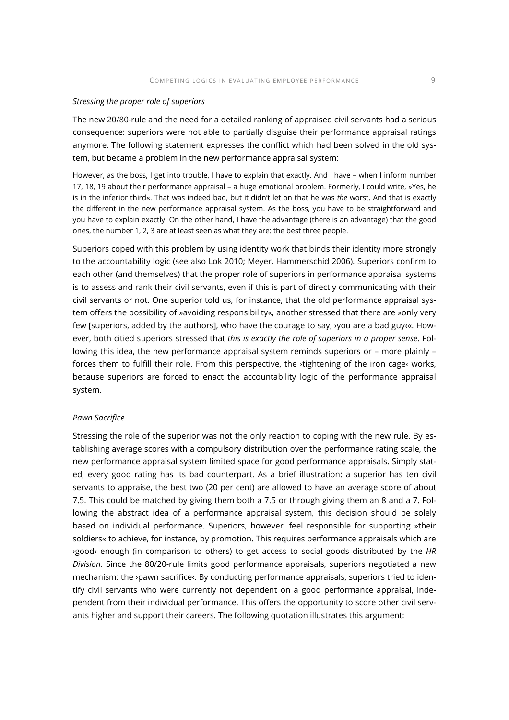#### Stressing the proper role of superiors

The new 20/80-rule and the need for a detailed ranking of appraised civil servants had a serious consequence: superiors were not able to partially disguise their performance appraisal ratings anymore. The following statement expresses the conflict which had been solved in the old system, but became a problem in the new performance appraisal system:

However, as the boss, I get into trouble, I have to explain that exactly. And I have – when I inform number 17, 18, 19 about their performance appraisal – a huge emotional problem. Formerly, I could write, »Yes, he is in the inferior third«. That was indeed bad, but it didn't let on that he was the worst. And that is exactly the different in the new performance appraisal system. As the boss, you have to be straightforward and you have to explain exactly. On the other hand, I have the advantage (there is an advantage) that the good ones, the number 1, 2, 3 are at least seen as what they are: the best three people.

Superiors coped with this problem by using identity work that binds their identity more strongly to the accountability logic (see also Lok 2010; Meyer, Hammerschid 2006). Superiors confirm to each other (and themselves) that the proper role of superiors in performance appraisal systems is to assess and rank their civil servants, even if this is part of directly communicating with their civil servants or not. One superior told us, for instance, that the old performance appraisal system offers the possibility of »avoiding responsibility«, another stressed that there are »only very few [superiors, added by the authors], who have the courage to say, ›you are a bad guy‹«. However, both citied superiors stressed that this is exactly the role of superiors in a proper sense. Following this idea, the new performance appraisal system reminds superiors or – more plainly – forces them to fulfill their role. From this perspective, the ›tightening of the iron cage‹ works, because superiors are forced to enact the accountability logic of the performance appraisal system.

## Pawn Sacrifice

Stressing the role of the superior was not the only reaction to coping with the new rule. By establishing average scores with a compulsory distribution over the performance rating scale, the new performance appraisal system limited space for good performance appraisals. Simply stated, every good rating has its bad counterpart. As a brief illustration: a superior has ten civil servants to appraise, the best two (20 per cent) are allowed to have an average score of about 7.5. This could be matched by giving them both a 7.5 or through giving them an 8 and a 7. Following the abstract idea of a performance appraisal system, this decision should be solely based on individual performance. Superiors, however, feel responsible for supporting »their soldiers« to achieve, for instance, by promotion. This requires performance appraisals which are ›good‹ enough (in comparison to others) to get access to social goods distributed by the HR Division. Since the 80/20-rule limits good performance appraisals, superiors negotiated a new mechanism: the ›pawn sacrifice‹. By conducting performance appraisals, superiors tried to identify civil servants who were currently not dependent on a good performance appraisal, independent from their individual performance. This offers the opportunity to score other civil servants higher and support their careers. The following quotation illustrates this argument: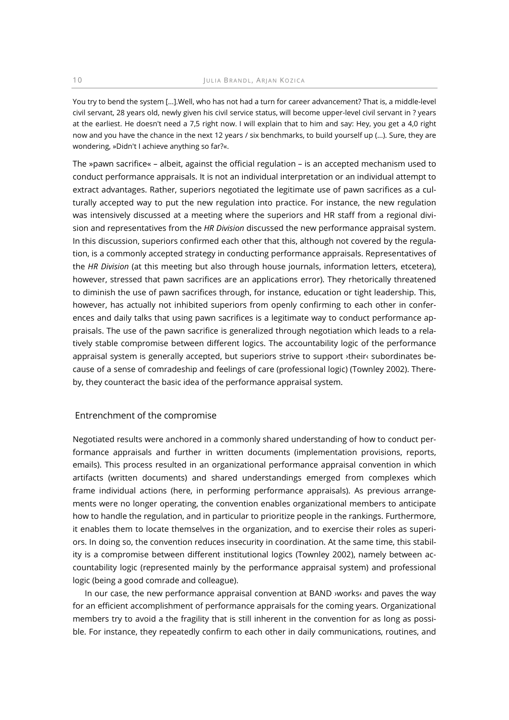You try to bend the system […].Well, who has not had a turn for career advancement? That is, a middle-level civil servant, 28 years old, newly given his civil service status, will become upper-level civil servant in ? years at the earliest. He doesn't need a 7,5 right now. I will explain that to him and say: Hey, you get a 4,0 right now and you have the chance in the next 12 years / six benchmarks, to build yourself up (...). Sure, they are wondering, »Didn't I achieve anything so far?«.

The »pawn sacrifice« – albeit, against the official regulation – is an accepted mechanism used to conduct performance appraisals. It is not an individual interpretation or an individual attempt to extract advantages. Rather, superiors negotiated the legitimate use of pawn sacrifices as a culturally accepted way to put the new regulation into practice. For instance, the new regulation was intensively discussed at a meeting where the superiors and HR staff from a regional division and representatives from the HR Division discussed the new performance appraisal system. In this discussion, superiors confirmed each other that this, although not covered by the regulation, is a commonly accepted strategy in conducting performance appraisals. Representatives of the HR Division (at this meeting but also through house journals, information letters, etcetera), however, stressed that pawn sacrifices are an applications error). They rhetorically threatened to diminish the use of pawn sacrifices through, for instance, education or tight leadership. This, however, has actually not inhibited superiors from openly confirming to each other in conferences and daily talks that using pawn sacrifices is a legitimate way to conduct performance appraisals. The use of the pawn sacrifice is generalized through negotiation which leads to a relatively stable compromise between different logics. The accountability logic of the performance appraisal system is generally accepted, but superiors strive to support ›their‹ subordinates because of a sense of comradeship and feelings of care (professional logic) (Townley 2002). Thereby, they counteract the basic idea of the performance appraisal system.

## Entrenchment of the compromise

Negotiated results were anchored in a commonly shared understanding of how to conduct performance appraisals and further in written documents (implementation provisions, reports, emails). This process resulted in an organizational performance appraisal convention in which artifacts (written documents) and shared understandings emerged from complexes which frame individual actions (here, in performing performance appraisals). As previous arrangements were no longer operating, the convention enables organizational members to anticipate how to handle the regulation, and in particular to prioritize people in the rankings. Furthermore, it enables them to locate themselves in the organization, and to exercise their roles as superiors. In doing so, the convention reduces insecurity in coordination. At the same time, this stability is a compromise between different institutional logics (Townley 2002), namely between accountability logic (represented mainly by the performance appraisal system) and professional logic (being a good comrade and colleague).

In our case, the new performance appraisal convention at BAND ›works‹ and paves the way for an efficient accomplishment of performance appraisals for the coming years. Organizational members try to avoid a the fragility that is still inherent in the convention for as long as possible. For instance, they repeatedly confirm to each other in daily communications, routines, and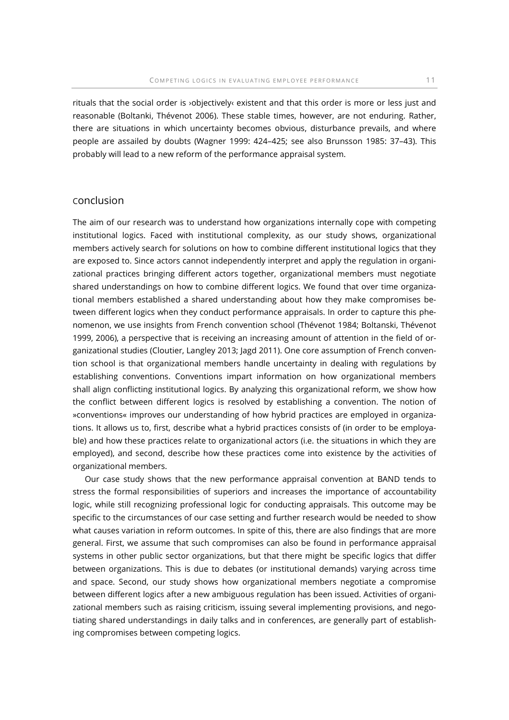rituals that the social order is ›objectively‹ existent and that this order is more or less just and reasonable (Boltanki, Thévenot 2006). These stable times, however, are not enduring. Rather, there are situations in which uncertainty becomes obvious, disturbance prevails, and where people are assailed by doubts (Wagner 1999: 424–425; see also Brunsson 1985: 37–43). This probably will lead to a new reform of the performance appraisal system.

## Conclusion

The aim of our research was to understand how organizations internally cope with competing institutional logics. Faced with institutional complexity, as our study shows, organizational members actively search for solutions on how to combine different institutional logics that they are exposed to. Since actors cannot independently interpret and apply the regulation in organizational practices bringing different actors together, organizational members must negotiate shared understandings on how to combine different logics. We found that over time organizational members established a shared understanding about how they make compromises between different logics when they conduct performance appraisals. In order to capture this phenomenon, we use insights from French convention school (Thévenot 1984; Boltanski, Thévenot 1999, 2006), a perspective that is receiving an increasing amount of attention in the field of organizational studies (Cloutier, Langley 2013; Jagd 2011). One core assumption of French convention school is that organizational members handle uncertainty in dealing with regulations by establishing conventions. Conventions impart information on how organizational members shall align conflicting institutional logics. By analyzing this organizational reform, we show how the conflict between different logics is resolved by establishing a convention. The notion of »conventions« improves our understanding of how hybrid practices are employed in organizations. It allows us to, first, describe what a hybrid practices consists of (in order to be employable) and how these practices relate to organizational actors (i.e. the situations in which they are employed), and second, describe how these practices come into existence by the activities of organizational members.

Our case study shows that the new performance appraisal convention at BAND tends to stress the formal responsibilities of superiors and increases the importance of accountability logic, while still recognizing professional logic for conducting appraisals. This outcome may be specific to the circumstances of our case setting and further research would be needed to show what causes variation in reform outcomes. In spite of this, there are also findings that are more general. First, we assume that such compromises can also be found in performance appraisal systems in other public sector organizations, but that there might be specific logics that differ between organizations. This is due to debates (or institutional demands) varying across time and space. Second, our study shows how organizational members negotiate a compromise between different logics after a new ambiguous regulation has been issued. Activities of organizational members such as raising criticism, issuing several implementing provisions, and negotiating shared understandings in daily talks and in conferences, are generally part of establishing compromises between competing logics.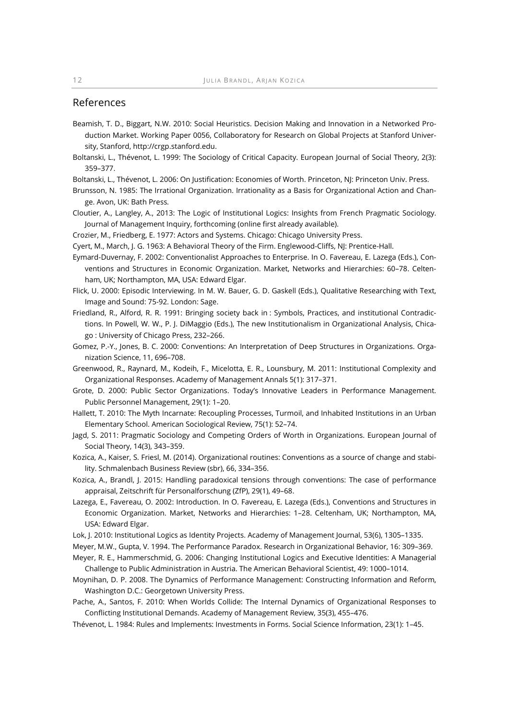# References

- Beamish, T. D., Biggart, N.W. 2010: Social Heuristics. Decision Making and Innovation in a Networked Production Market. Working Paper 0056, Collaboratory for Research on Global Projects at Stanford University, Stanford, http://crgp.stanford.edu.
- Boltanski, L., Thévenot, L. 1999: The Sociology of Critical Capacity. European Journal of Social Theory, 2(3): 359–377.
- Boltanski, L., Thévenot, L. 2006: On Justification: Economies of Worth. Princeton, NJ: Princeton Univ. Press.
- Brunsson, N. 1985: The Irrational Organization. Irrationality as a Basis for Organizational Action and Change. Avon, UK: Bath Press.
- Cloutier, A., Langley, A., 2013: The Logic of Institutional Logics: Insights from French Pragmatic Sociology. Journal of Management Inquiry, forthcoming (online first already available).

Crozier, M., Friedberg, E. 1977: Actors and Systems. Chicago: Chicago University Press.

Cyert, M., March, J. G. 1963: A Behavioral Theory of the Firm. Englewood-Cliffs, NJ: Prentice-Hall.

Eymard-Duvernay, F. 2002: Conventionalist Approaches to Enterprise. In O. Favereau, E. Lazega (Eds.), Conventions and Structures in Economic Organization. Market, Networks and Hierarchies: 60–78. Celtenham, UK; Northampton, MA, USA: Edward Elgar.

- Flick, U. 2000: Episodic Interviewing. In M. W. Bauer, G. D. Gaskell (Eds.), Qualitative Researching with Text, Image and Sound: 75-92. London: Sage.
- Friedland, R., Alford, R. R. 1991: Bringing society back in : Symbols, Practices, and institutional Contradictions. In Powell, W. W., P. J. DiMaggio (Eds.), The new Institutionalism in Organizational Analysis, Chicago : University of Chicago Press, 232–266.
- Gomez, P.-Y., Jones, B. C. 2000: Conventions: An Interpretation of Deep Structures in Organizations. Organization Science, 11, 696–708.
- Greenwood, R., Raynard, M., Kodeih, F., Micelotta, E. R., Lounsbury, M. 2011: Institutional Complexity and Organizational Responses. Academy of Management Annals 5(1): 317–371.
- Grote, D. 2000: Public Sector Organizations. Today's Innovative Leaders in Performance Management. Public Personnel Management, 29(1): 1–20.
- Hallett, T. 2010: The Myth Incarnate: Recoupling Processes, Turmoil, and Inhabited Institutions in an Urban Elementary School. American Sociological Review, 75(1): 52–74.
- Jagd, S. 2011: Pragmatic Sociology and Competing Orders of Worth in Organizations. European Journal of Social Theory, 14(3), 343–359.
- Kozica, A., Kaiser, S. Friesl, M. (2014). Organizational routines: Conventions as a source of change and stability. Schmalenbach Business Review (sbr), 66, 334–356.
- Kozica, A., Brandl, J. 2015: Handling paradoxical tensions through conventions: The case of performance appraisal, Zeitschrift für Personalforschung (ZfP), 29(1), 49–68.
- Lazega, E., Favereau, O. 2002: Introduction. In O. Favereau, E. Lazega (Eds.), Conventions and Structures in Economic Organization. Market, Networks and Hierarchies: 1–28. Celtenham, UK; Northampton, MA, USA: Edward Elgar.
- Lok, J. 2010: Institutional Logics as Identity Projects. Academy of Management Journal, 53(6), 1305–1335.
- Meyer, M.W., Gupta, V. 1994. The Performance Paradox. Research in Organizational Behavior, 16: 309–369.
- Meyer, R. E., Hammerschmid, G. 2006: Changing Institutional Logics and Executive Identities: A Managerial Challenge to Public Administration in Austria. The American Behavioral Scientist, 49: 1000–1014.
- Moynihan, D. P. 2008. The Dynamics of Performance Management: Constructing Information and Reform, Washington D.C.: Georgetown University Press.
- Pache, A., Santos, F. 2010: When Worlds Collide: The Internal Dynamics of Organizational Responses to Conflicting Institutional Demands. Academy of Management Review, 35(3), 455–476.
- Thévenot, L. 1984: Rules and Implements: Investments in Forms. Social Science Information, 23(1): 1–45.